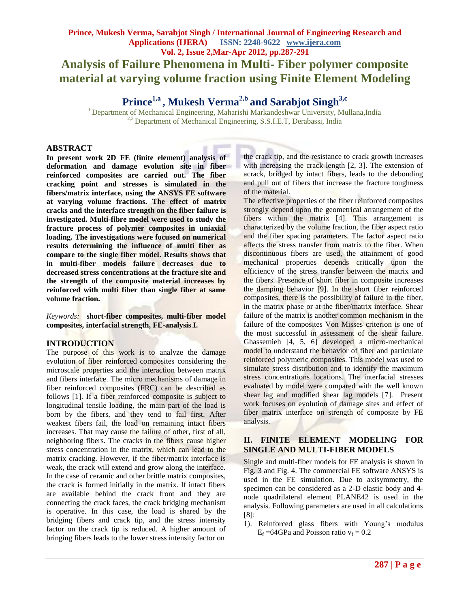# **Prince1,a , Mukesh Verma2,b and Sarabjot Singh3,c**

<sup>1</sup>Department of Mechanical Engineering, Maharishi Markandeshwar University, Mullana,India <sup>2,3</sup> Department of Mechanical Engineering, S.S.I.E.T, Derabassi, India

### **ABSTRACT**

**In present work 2D FE (finite element) analysis of deformation and damage evolution site in fiber reinforced composites are carried out. The fiber cracking point and stresses is simulated in the fibers/matrix interface, using the ANSYS FE software at varying volume fractions. The effect of matrix cracks and the interface strength on the fiber failure is investigated. Multi-fibre model were used to study the fracture process of polymer composites in uniaxial loading. The investigations were focused on numerical results determining the influence of multi fiber as compare to the single fiber model. Results shows that in multi-fiber models failure decreases due to decreased stress concentrations at the fracture site and the strength of the composite material increases by reinforced with multi fiber than single fiber at same volume fraction.**

*Keywords:* **short-fiber composites, multi-fiber model composites, interfacial strength, FE-analysis**.**I.** 

#### **INTRODUCTION**

The purpose of this work is to analyze the damage evolution of fiber reinforced composites considering the microscale properties and the interaction between matrix and fibers interface. The micro mechanisms of damage in fiber reinforced composites (FRC) can be described as follows [1]. If a fiber reinforced composite is subject to longitudinal tensile loading, the main part of the load is born by the fibers, and they tend to fail first. After weakest fibers fail, the load on remaining intact fibers increases. That may cause the failure of other, first of all, neighboring fibers. The cracks in the fibers cause higher stress concentration in the matrix, which can lead to the matrix cracking. However, if the fiber/matrix interface is weak, the crack will extend and grow along the interface. In the case of ceramic and other brittle matrix composites, the crack is formed initially in the matrix. If intact fibers are available behind the crack front and they are connecting the crack faces, the crack bridging mechanism is operative. In this case, the load is shared by the bridging fibers and crack tip, and the stress intensity factor on the crack tip is reduced. A higher amount of bringing fibers leads to the lower stress intensity factor on

the crack tip, and the resistance to crack growth increases with increasing the crack length [2, 3]. The extension of acrack, bridged by intact fibers, leads to the debonding and pull out of fibers that increase the fracture toughness of the material.

The effective properties of the fiber reinforced composites strongly depend upon the geometrical arrangement of the fibers within the matrix [4]. This arrangement is characterized by the volume fraction, the fiber aspect ratio and the fiber spacing parameters. The factor aspect ratio affects the stress transfer from matrix to the fiber. When discontinuous fibers are used, the attainment of good mechanical properties depends critically upon the efficiency of the stress transfer between the matrix and the fibers. Presence of short fiber in composite increases the damping behavior [9]. In the short fiber reinforced composites, there is the possibility of failure in the fiber, in the matrix phase or at the fiber/matrix interface. Shear failure of the matrix is another common mechanism in the failure of the composites Von Misses criterion is one of the most successful in assessment of the shear failure. Ghassemieh [4, 5, 6] developed a micro-mechanical model to understand the behavior of fiber and particulate reinforced polymeric composites. This model was used to simulate stress distribution and to identify the maximum stress concentrations locations. The interfacial stresses evaluated by model were compared with the well known shear lag and modified shear lag models [7]. Present work focuses on evolution of damage sites and effect of fiber matrix interface on strength of composite by FE analysis.

### **II. FINITE ELEMENT MODELING FOR SINGLE AND MULTI-FIBER MODELS**

Single and multi-fiber models for FE analysis is shown in Fig. 3 and Fig. 4. The commercial FE software ANSYS is used in the FE simulation. Due to axisymmetry, the specimen can be considered as a 2-D elastic body and 4 node quadrilateral element PLANE42 is used in the analysis. Following parameters are used in all calculations [8]:

1). Reinforced glass fibers with Young's modulus  $E_f = 64$ GPa and Poisson ratio  $v_f = 0.2$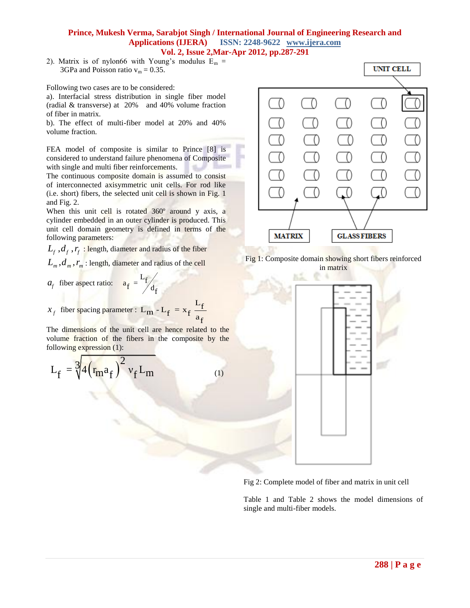2). Matrix is of nylon66 with Young's modulus  $E_m =$ 3GPa and Poisson ratio  $v_m = 0.35$ .

Following two cases are to be considered:

a). Interfacial stress distribution in single fiber model (radial & transverse) at 20% and 40% volume fraction of fiber in matrix.

b). The effect of multi-fiber model at 20% and 40% volume fraction.

FEA model of composite is similar to Prince [8] is considered to understand failure phenomena of Composite with single and multi fiber reinforcements. SL.

The continuous composite domain is assumed to consist of interconnected axisymmetric unit cells. For rod like (i.e. short) fibers, the selected unit cell is shown in Fig. 1 and Fig. 2.

When this unit cell is rotated 360° around y axis, a cylinder embedded in an outer cylinder is produced. This unit cell domain geometry is defined in terms of the following parameters:

 $L_f$ ,  $d_f$ ,  $r_f$ : length, diameter and radius of the fiber

 $L_{m}^{}$  ,  $d_{m}^{}$  ,  $r_{m}^{}$  : length, diameter and radius of the cell

- $a_f$  fiber aspect ratio:  $a_f = \frac{L_f}{d_f}$
- $x_f$  fiber spacing parameter :  $L_m - L_f = x_f \frac{L_f}{a_f}$

The dimensions of the unit cell are hence related to the volume fraction of the fibers in the composite by the following expression (1):

$$
L_f = \sqrt[3]{4(r_m a_f)^2 v_f L_m}
$$
 (1)



Fig 1: Composite domain showing short fibers reinforced in matrix



Fig 2: Complete model of fiber and matrix in unit cell

Table 1 and Table 2 shows the model dimensions of single and multi-fiber models.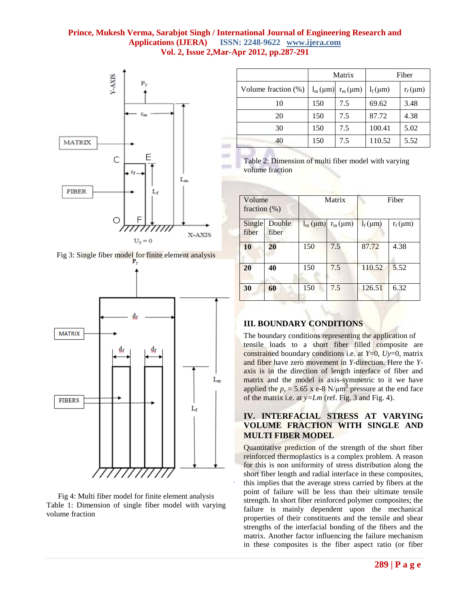



Fig 4: Multi fiber model for finite element analysis Table 1: Dimension of single fiber model with varying volume fraction

|                     | Matrix |                                        | Fiber        |              |
|---------------------|--------|----------------------------------------|--------------|--------------|
| Volume fraction (%) |        | $l_m(\mu m)$ r <sub>m</sub> ( $\mu$ m) | $l_f(\mu m)$ | $r_f(\mu m)$ |
| 10                  | 150    | 7.5                                    | 69.62        | 3.48         |
| 20                  | 150    | 7.5                                    | 87.72        | 4.38         |
| 30                  | 150    | 7.5                                    | 100.41       | 5.02         |
| 40                  | 150    | 7.5                                    | 110.52       | 5.52         |



| Volume<br>fraction $(\%)$ |                 | Matrix             |              | Fiber        |              |
|---------------------------|-----------------|--------------------|--------------|--------------|--------------|
| Single<br>fiber           | Double<br>fiber | $l_{m}$ ( $\mu$ m) | $r_m(\mu m)$ | $l_f(\mu m)$ | $r_f(\mu m)$ |
| 10                        | 20              | 150                | 7.5          | 87.72        | 4.38         |
| 20                        | 40              | 150                | 7.5          | 110.52       | 5.52         |
| 30                        | 60              | 150                | 7.5          | 126.51       | 6.32         |

## **III. BOUNDARY CONDITIONS**

The boundary conditions representing the application of tensile loads to a short fiber filled composite are constrained boundary conditions i.e. at *Y*=0, *Uy*=0, matrix and fiber have zero movement in *Y*-direction. Here the *Y*axis is in the direction of length interface of fiber and matrix and the model is axis-symmetric to it we have applied the  $p_y = 5.65$  x e-8 N/ $\mu$ m<sup>2</sup> pressure at the end face of the matrix i.e. at *y=Lm* (ref. Fig. 3 and Fig. 4).

### **IV. INTERFACIAL STRESS AT VARYING VOLUME FRACTION WITH SINGLE AND MULTI FIBER MODEL**

Quantitative prediction of the strength of the short fiber reinforced thermoplastics is a complex problem. A reason for this is non uniformity of stress distribution along the short fiber length and radial interface in these composites, this implies that the average stress carried by fibers at the point of failure will be less than their ultimate tensile strength. In short fiber reinforced polymer composites; the failure is mainly dependent upon the mechanical properties of their constituents and the tensile and shear strengths of the interfacial bonding of the fibers and the matrix. Another factor influencing the failure mechanism in these composites is the fiber aspect ratio (or fiber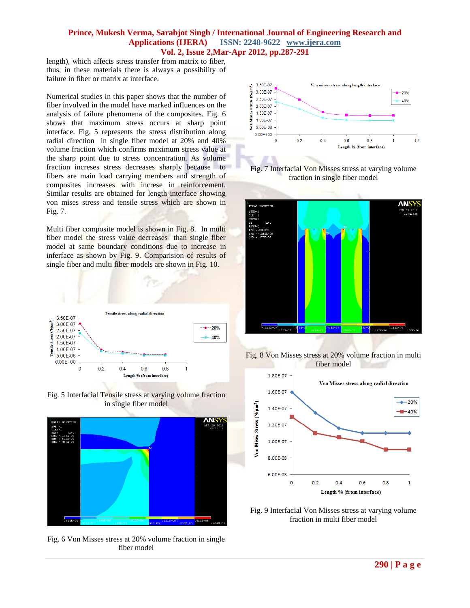length), which affects stress transfer from matrix to fiber, thus, in these materials there is always a possibility of failure in fiber or matrix at interface.

Numerical studies in this paper shows that the number of fiber involved in the model have marked influences on the analysis of failure phenomena of the composites. Fig. 6 shows that maximum stress occurs at sharp point interface. Fig. 5 represents the stress distribution along radial direction in single fiber model at 20% and 40% volume fraction which confirms maximum stress value at the sharp point due to stress concentration. As volume fraction increses stress decreases sharply because to fibers are main load carrying members and strength of composites increases with increse in reinforcement. Similar results are obtained for length interface showing von mises stress and tensile stress which are shown in Fig. 7.

Multi fiber composite model is shown in Fig. 8. In multi fiber model the stress value decreases than single fiber model at same boundary conditions due to increase in inferface as shown by Fig. 9. Comparision of results of single fiber and multi fiber models are shown in Fig. 10.







Fig. 6 Von Misses stress at 20% volume fraction in single fiber model











Fig. 9 Interfacial Von Misses stress at varying volume fraction in multi fiber model